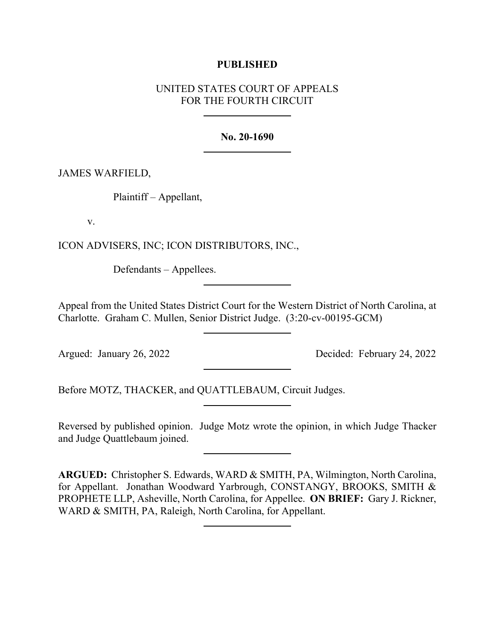## **PUBLISHED**

# UNITED STATES COURT OF APPEALS FOR THE FOURTH CIRCUIT

## **No. 20-1690**

# JAMES WARFIELD,

Plaintiff – Appellant,

v.

ICON ADVISERS, INC; ICON DISTRIBUTORS, INC.,

Defendants – Appellees.

Appeal from the United States District Court for the Western District of North Carolina, at Charlotte. Graham C. Mullen, Senior District Judge. (3:20-cv-00195-GCM)

Argued: January 26, 2022 Decided: February 24, 2022

Before MOTZ, THACKER, and QUATTLEBAUM, Circuit Judges.

Reversed by published opinion. Judge Motz wrote the opinion, in which Judge Thacker and Judge Quattlebaum joined.

**ARGUED:** Christopher S. Edwards, WARD & SMITH, PA, Wilmington, North Carolina, for Appellant. Jonathan Woodward Yarbrough, CONSTANGY, BROOKS, SMITH & PROPHETE LLP, Asheville, North Carolina, for Appellee. **ON BRIEF:** Gary J. Rickner, WARD & SMITH, PA, Raleigh, North Carolina, for Appellant.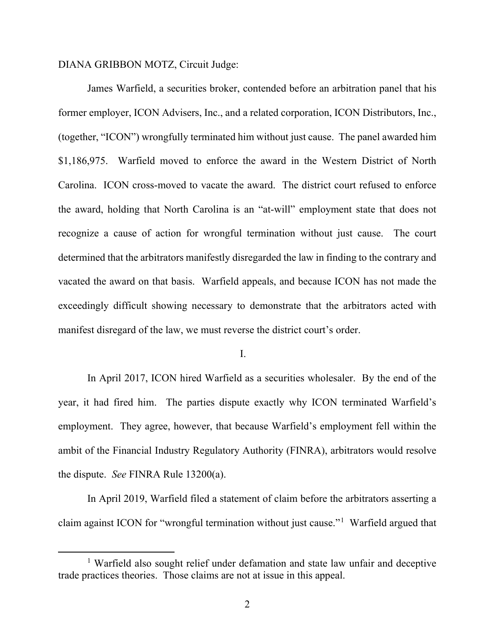#### DIANA GRIBBON MOTZ, Circuit Judge:

James Warfield, a securities broker, contended before an arbitration panel that his former employer, ICON Advisers, Inc., and a related corporation, ICON Distributors, Inc., (together, "ICON") wrongfully terminated him without just cause. The panel awarded him \$1,186,975. Warfield moved to enforce the award in the Western District of North Carolina. ICON cross-moved to vacate the award. The district court refused to enforce the award, holding that North Carolina is an "at-will" employment state that does not recognize a cause of action for wrongful termination without just cause. The court determined that the arbitrators manifestly disregarded the law in finding to the contrary and vacated the award on that basis. Warfield appeals, and because ICON has not made the exceedingly difficult showing necessary to demonstrate that the arbitrators acted with manifest disregard of the law, we must reverse the district court's order.

I.

In April 2017, ICON hired Warfield as a securities wholesaler. By the end of the year, it had fired him. The parties dispute exactly why ICON terminated Warfield's employment. They agree, however, that because Warfield's employment fell within the ambit of the Financial Industry Regulatory Authority (FINRA), arbitrators would resolve the dispute. *See* FINRA Rule 13200(a).

In April 2019, Warfield filed a statement of claim before the arbitrators asserting a claim against ICON for "wrongful termination without just cause."[1](#page-1-0) Warfield argued that

<span id="page-1-0"></span><sup>&</sup>lt;sup>1</sup> Warfield also sought relief under defamation and state law unfair and deceptive trade practices theories. Those claims are not at issue in this appeal.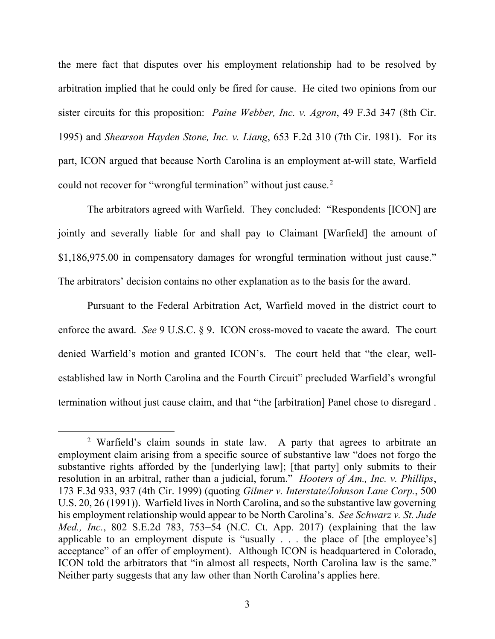the mere fact that disputes over his employment relationship had to be resolved by arbitration implied that he could only be fired for cause. He cited two opinions from our sister circuits for this proposition: *Paine Webber, Inc. v. Agron*, 49 F.3d 347 (8th Cir. 1995) and *Shearson Hayden Stone, Inc. v. Liang*, 653 F.2d 310 (7th Cir. 1981). For its part, ICON argued that because North Carolina is an employment at-will state, Warfield could not recover for "wrongful termination" without just cause.<sup>[2](#page-2-0)</sup>

The arbitrators agreed with Warfield. They concluded: "Respondents [ICON] are jointly and severally liable for and shall pay to Claimant [Warfield] the amount of \$1,186,975.00 in compensatory damages for wrongful termination without just cause." The arbitrators' decision contains no other explanation as to the basis for the award.

Pursuant to the Federal Arbitration Act, Warfield moved in the district court to enforce the award. *See* 9 U.S.C. § 9. ICON cross-moved to vacate the award. The court denied Warfield's motion and granted ICON's. The court held that "the clear, wellestablished law in North Carolina and the Fourth Circuit" precluded Warfield's wrongful termination without just cause claim, and that "the [arbitration] Panel chose to disregard .

<span id="page-2-0"></span><sup>2</sup> Warfield's claim sounds in state law. A party that agrees to arbitrate an employment claim arising from a specific source of substantive law "does not forgo the substantive rights afforded by the [underlying law]; [that party] only submits to their resolution in an arbitral, rather than a judicial, forum." *Hooters of Am., Inc. v. Phillips*, 173 F.3d 933, 937 (4th Cir. 1999) (quoting *Gilmer v. Interstate/Johnson Lane Corp.*, 500 U.S. 20, 26 (1991)). Warfield lives in North Carolina, and so the substantive law governing his employment relationship would appear to be North Carolina's. *See Schwarz v. St. Jude Med., Inc.*, 802 S.E.2d 783, 753–54 (N.C. Ct. App. 2017) (explaining that the law applicable to an employment dispute is "usually . . . the place of [the employee's] acceptance" of an offer of employment). Although ICON is headquartered in Colorado, ICON told the arbitrators that "in almost all respects, North Carolina law is the same." Neither party suggests that any law other than North Carolina's applies here.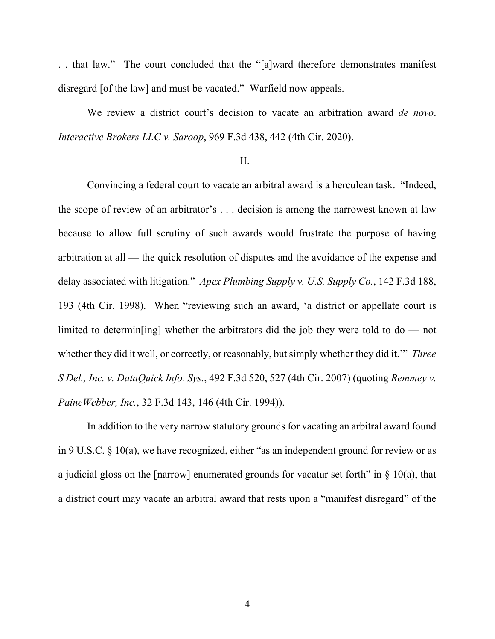. . that law." The court concluded that the "[a]ward therefore demonstrates manifest disregard [of the law] and must be vacated." Warfield now appeals.

We review a district court's decision to vacate an arbitration award *de novo*. *Interactive Brokers LLC v. Saroop*, 969 F.3d 438, 442 (4th Cir. 2020).

## II.

Convincing a federal court to vacate an arbitral award is a herculean task. "Indeed, the scope of review of an arbitrator's . . . decision is among the narrowest known at law because to allow full scrutiny of such awards would frustrate the purpose of having arbitration at all — the quick resolution of disputes and the avoidance of the expense and delay associated with litigation." *Apex Plumbing Supply v. U.S. Supply Co.*, 142 F.3d 188, 193 (4th Cir. 1998). When "reviewing such an award, 'a district or appellate court is limited to determin[ing] whether the arbitrators did the job they were told to do — not whether they did it well, or correctly, or reasonably, but simply whether they did it.'" *Three S Del., Inc. v. DataQuick Info. Sys.*, 492 F.3d 520, 527 (4th Cir. 2007) (quoting *Remmey v. PaineWebber, Inc.*, 32 F.3d 143, 146 (4th Cir. 1994)).

In addition to the very narrow statutory grounds for vacating an arbitral award found in 9 U.S.C. § 10(a), we have recognized, either "as an independent ground for review or as a judicial gloss on the [narrow] enumerated grounds for vacatur set forth" in  $\S$  10(a), that a district court may vacate an arbitral award that rests upon a "manifest disregard" of the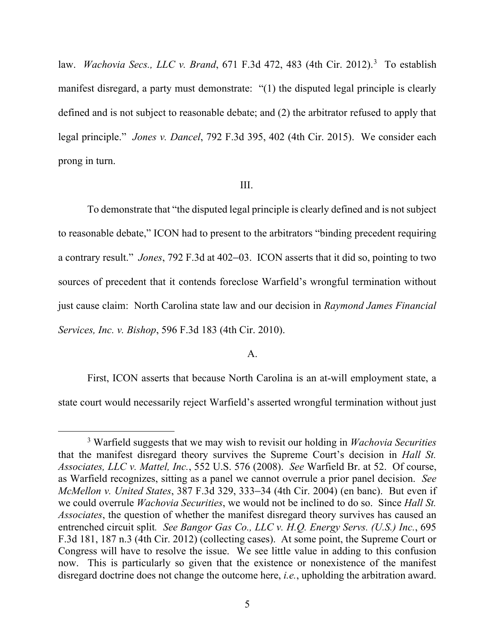law. *Wachovia Secs., LLC v. Brand*, 671 F.3d 472, 483 (4th Cir. 2012).[3](#page-4-0) To establish manifest disregard, a party must demonstrate: "(1) the disputed legal principle is clearly defined and is not subject to reasonable debate; and (2) the arbitrator refused to apply that legal principle." *Jones v. Dancel*, 792 F.3d 395, 402 (4th Cir. 2015). We consider each prong in turn.

#### III.

To demonstrate that "the disputed legal principle is clearly defined and is not subject to reasonable debate," ICON had to present to the arbitrators "binding precedent requiring a contrary result." *Jones*, 792 F.3d at 402–03. ICON asserts that it did so, pointing to two sources of precedent that it contends foreclose Warfield's wrongful termination without just cause claim: North Carolina state law and our decision in *Raymond James Financial Services, Inc. v. Bishop*, 596 F.3d 183 (4th Cir. 2010).

### A.

First, ICON asserts that because North Carolina is an at-will employment state, a state court would necessarily reject Warfield's asserted wrongful termination without just

<span id="page-4-0"></span><sup>3</sup> Warfield suggests that we may wish to revisit our holding in *Wachovia Securities*  that the manifest disregard theory survives the Supreme Court's decision in *Hall St. Associates, LLC v. Mattel, Inc.*, 552 U.S. 576 (2008). *See* Warfield Br. at 52. Of course, as Warfield recognizes, sitting as a panel we cannot overrule a prior panel decision. *See McMellon v. United States*, 387 F.3d 329, 333–34 (4th Cir. 2004) (en banc). But even if we could overrule *Wachovia Securities*, we would not be inclined to do so. Since *Hall St. Associates*, the question of whether the manifest disregard theory survives has caused an entrenched circuit split*. See Bangor Gas Co., LLC v. H.Q. Energy Servs. (U.S.) Inc.*, 695 F.3d 181, 187 n.3 (4th Cir. 2012) (collecting cases). At some point, the Supreme Court or Congress will have to resolve the issue. We see little value in adding to this confusion now. This is particularly so given that the existence or nonexistence of the manifest disregard doctrine does not change the outcome here, *i.e.*, upholding the arbitration award.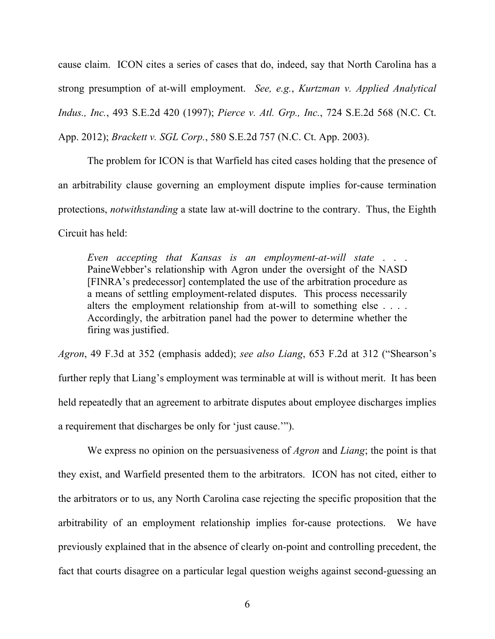cause claim. ICON cites a series of cases that do, indeed, say that North Carolina has a strong presumption of at-will employment. *See, e.g.*, *Kurtzman v. Applied Analytical Indus., Inc.*, 493 S.E.2d 420 (1997); *Pierce v. Atl. Grp., Inc.*, 724 S.E.2d 568 (N.C. Ct. App. 2012); *Brackett v. SGL Corp.*, 580 S.E.2d 757 (N.C. Ct. App. 2003).

The problem for ICON is that Warfield has cited cases holding that the presence of an arbitrability clause governing an employment dispute implies for-cause termination protections, *notwithstanding* a state law at-will doctrine to the contrary. Thus, the Eighth Circuit has held:

*Even accepting that Kansas is an employment-at-will state* . . . PaineWebber's relationship with Agron under the oversight of the NASD [FINRA's predecessor] contemplated the use of the arbitration procedure as a means of settling employment-related disputes. This process necessarily alters the employment relationship from at-will to something else . . . . Accordingly, the arbitration panel had the power to determine whether the firing was justified.

*Agron*, 49 F.3d at 352 (emphasis added); *see also Liang*, 653 F.2d at 312 ("Shearson's further reply that Liang's employment was terminable at will is without merit. It has been held repeatedly that an agreement to arbitrate disputes about employee discharges implies a requirement that discharges be only for 'just cause.'").

We express no opinion on the persuasiveness of *Agron* and *Liang*; the point is that they exist, and Warfield presented them to the arbitrators. ICON has not cited, either to the arbitrators or to us, any North Carolina case rejecting the specific proposition that the arbitrability of an employment relationship implies for-cause protections. We have previously explained that in the absence of clearly on-point and controlling precedent, the fact that courts disagree on a particular legal question weighs against second-guessing an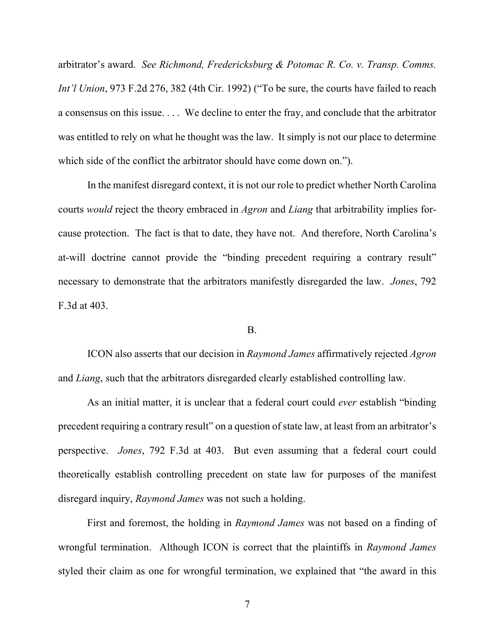arbitrator's award. *See Richmond, Fredericksburg & Potomac R. Co. v. Transp. Comms. Int'l Union*, 973 F.2d 276, 382 (4th Cir. 1992) ("To be sure, the courts have failed to reach a consensus on this issue. . . . We decline to enter the fray, and conclude that the arbitrator was entitled to rely on what he thought was the law. It simply is not our place to determine which side of the conflict the arbitrator should have come down on.").

In the manifest disregard context, it is not our role to predict whether North Carolina courts *would* reject the theory embraced in *Agron* and *Liang* that arbitrability implies forcause protection. The fact is that to date, they have not. And therefore, North Carolina's at-will doctrine cannot provide the "binding precedent requiring a contrary result" necessary to demonstrate that the arbitrators manifestly disregarded the law. *Jones*, 792 F.3d at 403.

## B.

ICON also asserts that our decision in *Raymond James* affirmatively rejected *Agron*  and *Liang*, such that the arbitrators disregarded clearly established controlling law.

As an initial matter, it is unclear that a federal court could *ever* establish "binding precedent requiring a contrary result" on a question of state law, at least from an arbitrator's perspective. *Jones*, 792 F.3d at 403. But even assuming that a federal court could theoretically establish controlling precedent on state law for purposes of the manifest disregard inquiry, *Raymond James* was not such a holding.

First and foremost, the holding in *Raymond James* was not based on a finding of wrongful termination. Although ICON is correct that the plaintiffs in *Raymond James*  styled their claim as one for wrongful termination, we explained that "the award in this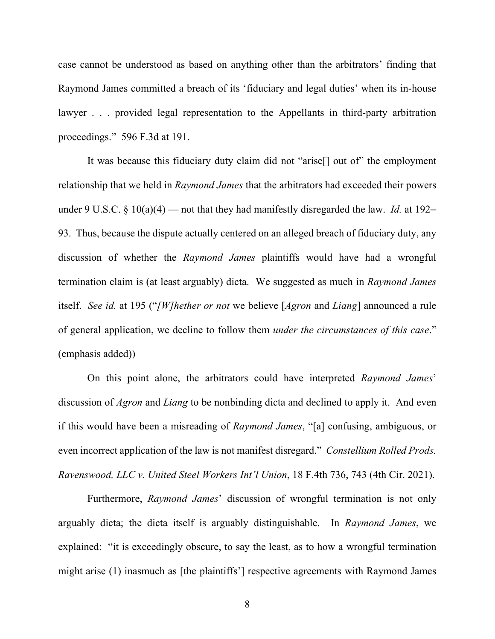case cannot be understood as based on anything other than the arbitrators' finding that Raymond James committed a breach of its 'fiduciary and legal duties' when its in-house lawyer . . . provided legal representation to the Appellants in third-party arbitration proceedings." 596 F.3d at 191.

It was because this fiduciary duty claim did not "arise[] out of" the employment relationship that we held in *Raymond James* that the arbitrators had exceeded their powers under 9 U.S.C. § 10(a)(4) — not that they had manifestly disregarded the law. *Id.* at 192– 93. Thus, because the dispute actually centered on an alleged breach of fiduciary duty, any discussion of whether the *Raymond James* plaintiffs would have had a wrongful termination claim is (at least arguably) dicta. We suggested as much in *Raymond James* itself. *See id.* at 195 ("*[W]hether or not* we believe [*Agron* and *Liang*] announced a rule of general application, we decline to follow them *under the circumstances of this case*." (emphasis added))

On this point alone, the arbitrators could have interpreted *Raymond James*' discussion of *Agron* and *Liang* to be nonbinding dicta and declined to apply it. And even if this would have been a misreading of *Raymond James*, "[a] confusing, ambiguous, or even incorrect application of the law is not manifest disregard." *Constellium Rolled Prods. Ravenswood, LLC v. United Steel Workers Int'l Union*, 18 F.4th 736, 743 (4th Cir. 2021).

Furthermore, *Raymond James*' discussion of wrongful termination is not only arguably dicta; the dicta itself is arguably distinguishable. In *Raymond James*, we explained: "it is exceedingly obscure, to say the least, as to how a wrongful termination might arise (1) inasmuch as [the plaintiffs'] respective agreements with Raymond James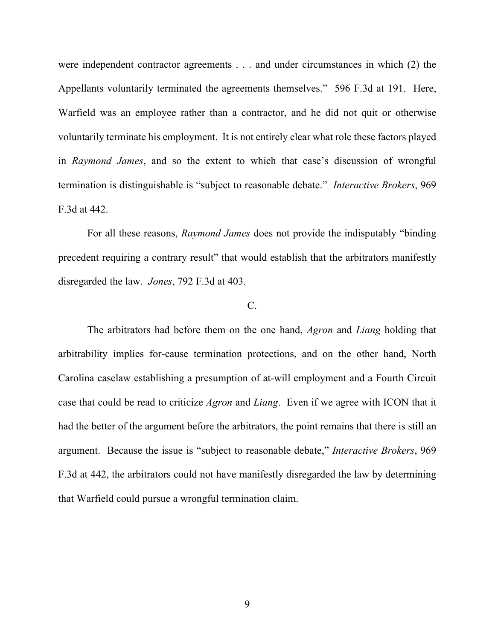were independent contractor agreements . . . and under circumstances in which (2) the Appellants voluntarily terminated the agreements themselves." 596 F.3d at 191. Here, Warfield was an employee rather than a contractor, and he did not quit or otherwise voluntarily terminate his employment. It is not entirely clear what role these factors played in *Raymond James*, and so the extent to which that case's discussion of wrongful termination is distinguishable is "subject to reasonable debate." *Interactive Brokers*, 969 F.3d at 442.

For all these reasons, *Raymond James* does not provide the indisputably "binding precedent requiring a contrary result" that would establish that the arbitrators manifestly disregarded the law. *Jones*, 792 F.3d at 403.

### C.

The arbitrators had before them on the one hand, *Agron* and *Liang* holding that arbitrability implies for-cause termination protections, and on the other hand, North Carolina caselaw establishing a presumption of at-will employment and a Fourth Circuit case that could be read to criticize *Agron* and *Liang*. Even if we agree with ICON that it had the better of the argument before the arbitrators, the point remains that there is still an argument. Because the issue is "subject to reasonable debate," *Interactive Brokers*, 969 F.3d at 442, the arbitrators could not have manifestly disregarded the law by determining that Warfield could pursue a wrongful termination claim.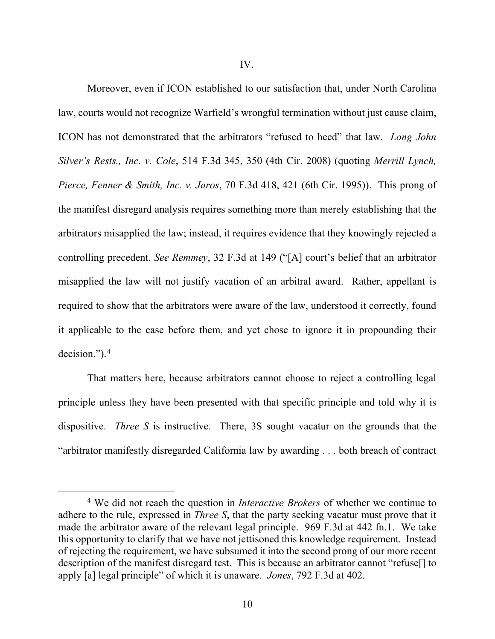Moreover, even if ICON established to our satisfaction that, under North Carolina law, courts would not recognize Warfield's wrongful termination without just cause claim, ICON has not demonstrated that the arbitrators "refused to heed" that law. *Long John Silver's Rests., Inc. v. Cole*, 514 F.3d 345, 350 (4th Cir. 2008) (quoting *Merrill Lynch, Pierce, Fenner & Smith, Inc. v. Jaros*, 70 F.3d 418, 421 (6th Cir. 1995)). This prong of the manifest disregard analysis requires something more than merely establishing that the arbitrators misapplied the law; instead, it requires evidence that they knowingly rejected a controlling precedent. *See Remmey*, 32 F.3d at 149 ("[A] court's belief that an arbitrator misapplied the law will not justify vacation of an arbitral award. Rather, appellant is required to show that the arbitrators were aware of the law, understood it correctly, found it applicable to the case before them, and yet chose to ignore it in propounding their decision.").[4](#page-9-0)

That matters here, because arbitrators cannot choose to reject a controlling legal principle unless they have been presented with that specific principle and told why it is dispositive. *Three S* is instructive. There, 3S sought vacatur on the grounds that the "arbitrator manifestly disregarded California law by awarding . . . both breach of contract

<span id="page-9-0"></span><sup>4</sup> We did not reach the question in *Interactive Brokers* of whether we continue to adhere to the rule, expressed in *Three S*, that the party seeking vacatur must prove that it made the arbitrator aware of the relevant legal principle. 969 F.3d at 442 fn.1. We take this opportunity to clarify that we have not jettisoned this knowledge requirement. Instead of rejecting the requirement, we have subsumed it into the second prong of our more recent description of the manifest disregard test. This is because an arbitrator cannot "refuse[] to apply [a] legal principle" of which it is unaware. *Jones*, 792 F.3d at 402.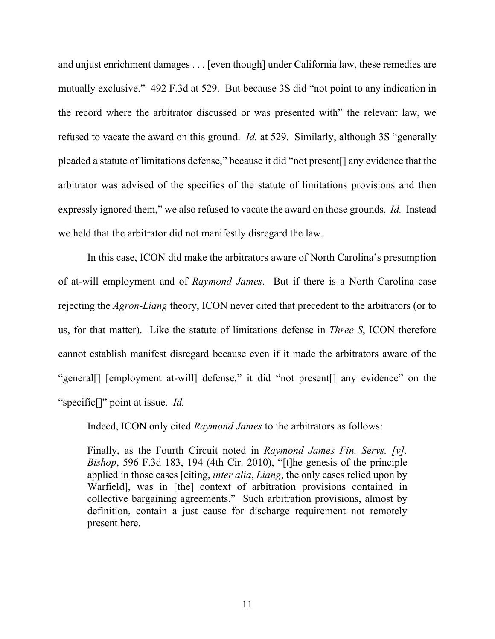and unjust enrichment damages . . . [even though] under California law, these remedies are mutually exclusive." 492 F.3d at 529. But because 3S did "not point to any indication in the record where the arbitrator discussed or was presented with" the relevant law, we refused to vacate the award on this ground. *Id.* at 529. Similarly, although 3S "generally pleaded a statute of limitations defense," because it did "not present[] any evidence that the arbitrator was advised of the specifics of the statute of limitations provisions and then expressly ignored them," we also refused to vacate the award on those grounds. *Id.* Instead we held that the arbitrator did not manifestly disregard the law.

In this case, ICON did make the arbitrators aware of North Carolina's presumption of at-will employment and of *Raymond James*. But if there is a North Carolina case rejecting the *Agron*-*Liang* theory, ICON never cited that precedent to the arbitrators (or to us, for that matter). Like the statute of limitations defense in *Three S*, ICON therefore cannot establish manifest disregard because even if it made the arbitrators aware of the "general<sup>[]</sup> [employment at-will] defense," it did "not present<sup>[]</sup> any evidence" on the "specific[]" point at issue. *Id.*

Indeed, ICON only cited *Raymond James* to the arbitrators as follows:

Finally, as the Fourth Circuit noted in *Raymond James Fin. Servs. [v]. Bishop*, 596 F.3d 183, 194 (4th Cir. 2010), "[t]he genesis of the principle applied in those cases [citing, *inter alia*, *Liang*, the only cases relied upon by Warfield], was in [the] context of arbitration provisions contained in collective bargaining agreements." Such arbitration provisions, almost by definition, contain a just cause for discharge requirement not remotely present here.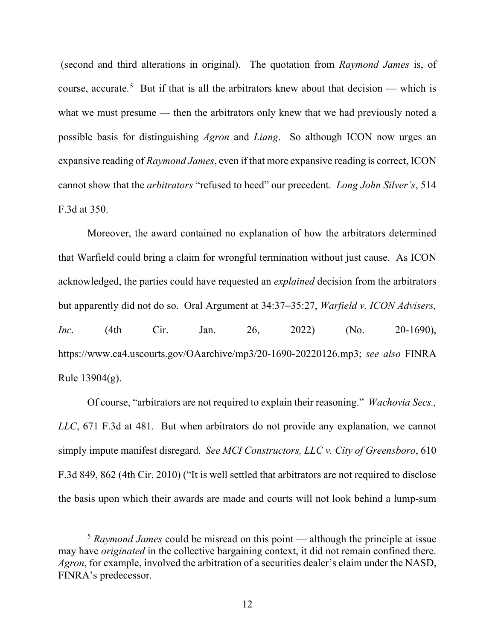(second and third alterations in original). The quotation from *Raymond James* is, of course, accurate.<sup>[5](#page-11-0)</sup> But if that is all the arbitrators knew about that decision — which is what we must presume — then the arbitrators only knew that we had previously noted a possible basis for distinguishing *Agron* and *Liang*. So although ICON now urges an expansive reading of *Raymond James*, even if that more expansive reading is correct, ICON cannot show that the *arbitrators* "refused to heed" our precedent. *Long John Silver's*, 514 F.3d at 350.

Moreover, the award contained no explanation of how the arbitrators determined that Warfield could bring a claim for wrongful termination without just cause. As ICON acknowledged, the parties could have requested an *explained* decision from the arbitrators but apparently did not do so. Oral Argument at 34:37–35:27, *Warfield v. ICON Advisers, Inc.* (4th Cir. Jan. 26, 2022) (No. 20-1690), https://www.ca4.uscourts.gov/OAarchive/mp3/20-1690-20220126.mp3; *see also* FINRA Rule  $13904(g)$ .

Of course, "arbitrators are not required to explain their reasoning." *Wachovia Secs., LLC*, 671 F.3d at 481. But when arbitrators do not provide any explanation, we cannot simply impute manifest disregard. *See MCI Constructors, LLC v. City of Greensboro*, 610 F.3d 849, 862 (4th Cir. 2010) ("It is well settled that arbitrators are not required to disclose the basis upon which their awards are made and courts will not look behind a lump-sum

<span id="page-11-0"></span><sup>5</sup> *Raymond James* could be misread on this point — although the principle at issue may have *originated* in the collective bargaining context, it did not remain confined there. *Agron*, for example, involved the arbitration of a securities dealer's claim under the NASD, FINRA's predecessor.